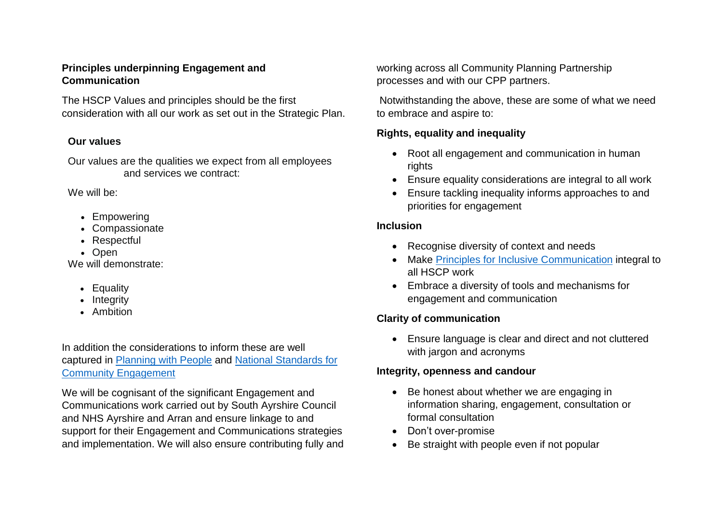#### **Principles underpinning Engagement and Communication**

The HSCP Values and principles should be the first consideration with all our work as set out in the Strategic Plan.

### **Our values**

Our values are the qualities we expect from all employees and services we contract:

We will be:

- Empowering
- Compassionate
- Respectful
- Open

We will demonstrate:

- Equality
- Integrity
- Ambition

### In addition the considerations to inform these are well captured in [Planning with People](https://www.gov.scot/publications/planning-people/pages/4/) and National [Standards](https://www.scdc.org.uk/what/national-standards) for [Community Engagement](https://www.scdc.org.uk/what/national-standards)

We will be cognisant of the significant Engagement and Communications work carried out by South Ayrshire Council and NHS Ayrshire and Arran and ensure linkage to and support for their Engagement and Communications strategies and implementation. We will also ensure contributing fully and working across all Community Planning Partnership processes and with our CPP partners.

Notwithstanding the above, these are some of what we need to embrace and aspire to:

## **Rights, equality and inequality**

- Root all engagement and communication in human rights
- Ensure equality considerations are integral to all work
- Ensure tackling inequality informs approaches to and priorities for engagement

## **Inclusion**

- Recognise diversity of context and needs
- Make Principles [for Inclusive Communication](https://www.gov.scot/publications/principles-inclusive-communication-information-self-assessment-tool-public-authorities/pages/9/) integral to all HSCP work
- Embrace a diversity of tools and mechanisms for engagement and communication

# **Clarity of communication**

• Ensure language is clear and direct and not cluttered with jargon and acronyms

## **Integrity, openness and candour**

- Be honest about whether we are engaging in information sharing, engagement, consultation or formal consultation
- Don't over-promise
- Be straight with people even if not popular